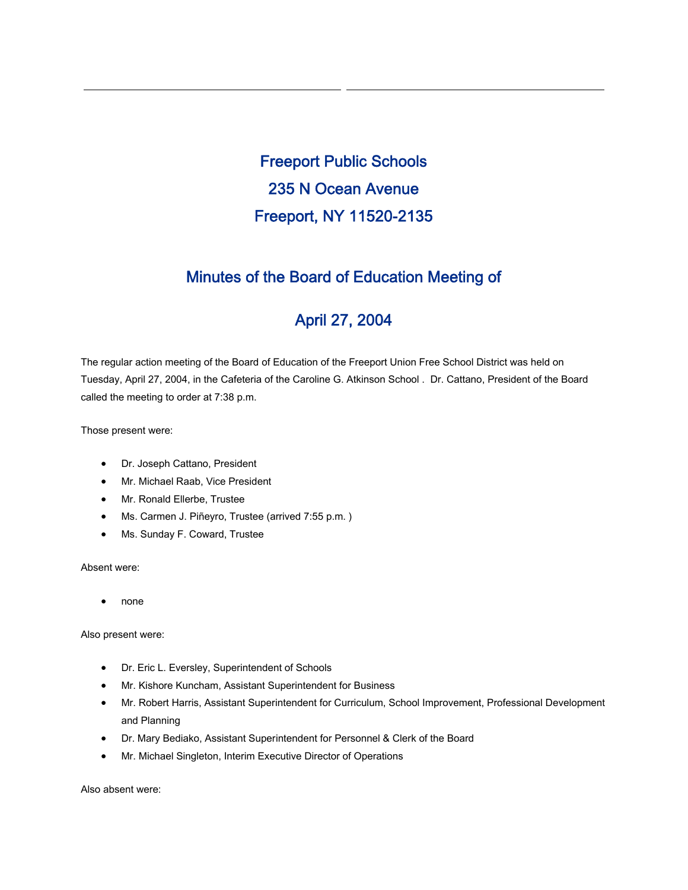Freeport Public Schools 235 N Ocean Avenue Freeport, NY 11520-2135

# Minutes of the Board of Education Meeting of

# April 27, 2004

The regular action meeting of the Board of Education of the Freeport Union Free School District was held on Tuesday, April 27, 2004, in the Cafeteria of the Caroline G. Atkinson School . Dr. Cattano, President of the Board called the meeting to order at 7:38 p.m.

Those present were:

- Dr. Joseph Cattano, President
- Mr. Michael Raab, Vice President
- Mr. Ronald Ellerbe, Trustee
- Ms. Carmen J. Piñeyro, Trustee (arrived 7:55 p.m. )
- Ms. Sunday F. Coward, Trustee

Absent were:

• none

Also present were:

- Dr. Eric L. Eversley, Superintendent of Schools
- Mr. Kishore Kuncham, Assistant Superintendent for Business
- Mr. Robert Harris, Assistant Superintendent for Curriculum, School Improvement, Professional Development and Planning
- Dr. Mary Bediako, Assistant Superintendent for Personnel & Clerk of the Board
- Mr. Michael Singleton, Interim Executive Director of Operations

Also absent were: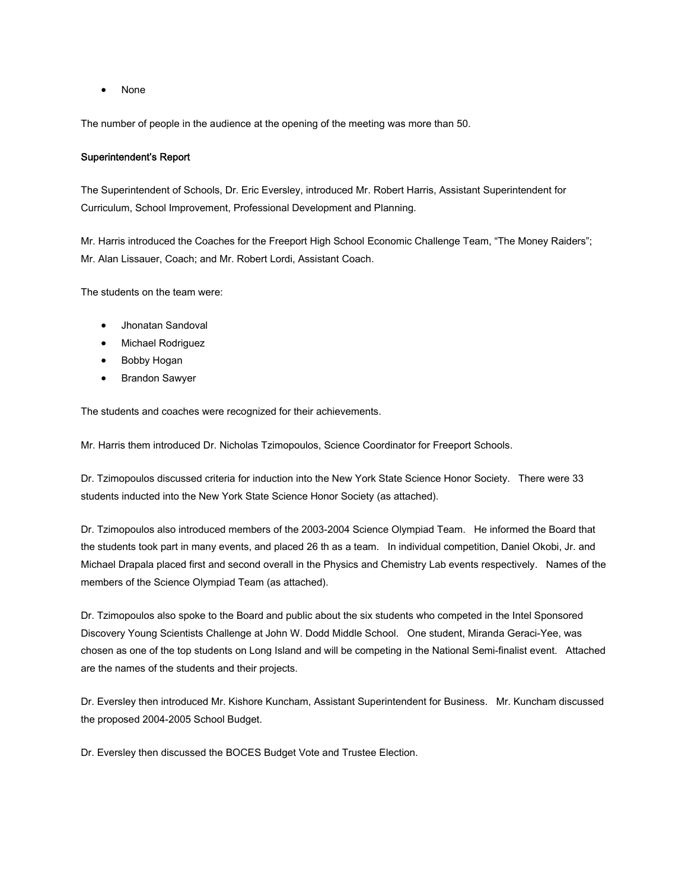• None

The number of people in the audience at the opening of the meeting was more than 50.

# Superintendent's Report

The Superintendent of Schools, Dr. Eric Eversley, introduced Mr. Robert Harris, Assistant Superintendent for Curriculum, School Improvement, Professional Development and Planning.

Mr. Harris introduced the Coaches for the Freeport High School Economic Challenge Team, "The Money Raiders"; Mr. Alan Lissauer, Coach; and Mr. Robert Lordi, Assistant Coach.

The students on the team were:

- Jhonatan Sandoval
- Michael Rodriguez
- Bobby Hogan
- Brandon Sawyer

The students and coaches were recognized for their achievements.

Mr. Harris them introduced Dr. Nicholas Tzimopoulos, Science Coordinator for Freeport Schools.

Dr. Tzimopoulos discussed criteria for induction into the New York State Science Honor Society. There were 33 students inducted into the New York State Science Honor Society (as attached).

Dr. Tzimopoulos also introduced members of the 2003-2004 Science Olympiad Team. He informed the Board that the students took part in many events, and placed 26 th as a team. In individual competition, Daniel Okobi, Jr. and Michael Drapala placed first and second overall in the Physics and Chemistry Lab events respectively. Names of the members of the Science Olympiad Team (as attached).

Dr. Tzimopoulos also spoke to the Board and public about the six students who competed in the Intel Sponsored Discovery Young Scientists Challenge at John W. Dodd Middle School. One student, Miranda Geraci-Yee, was chosen as one of the top students on Long Island and will be competing in the National Semi-finalist event. Attached are the names of the students and their projects.

Dr. Eversley then introduced Mr. Kishore Kuncham, Assistant Superintendent for Business. Mr. Kuncham discussed the proposed 2004-2005 School Budget.

Dr. Eversley then discussed the BOCES Budget Vote and Trustee Election.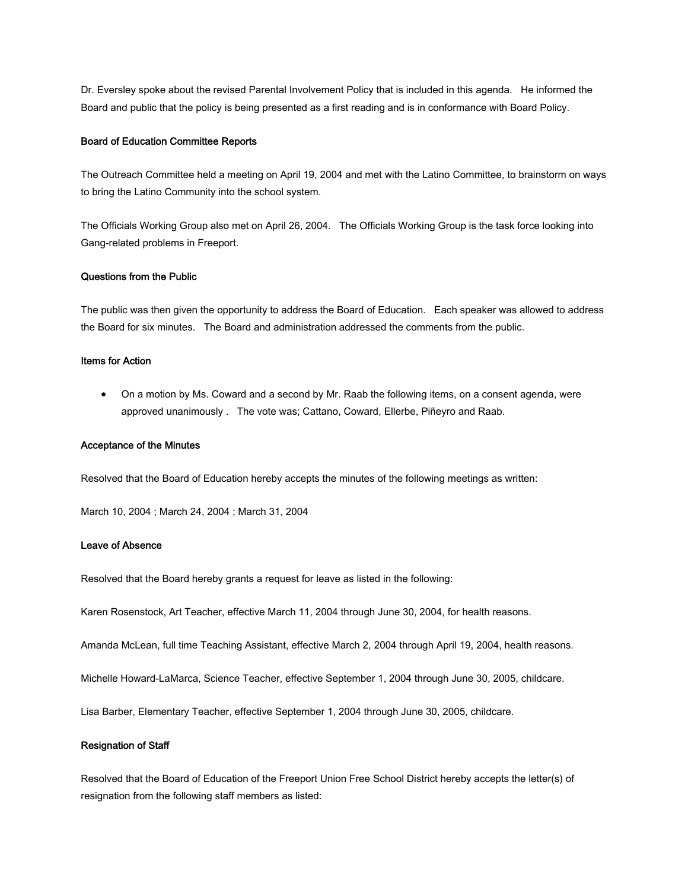Dr. Eversley spoke about the revised Parental Involvement Policy that is included in this agenda. He informed the Board and public that the policy is being presented as a first reading and is in conformance with Board Policy.

# Board of Education Committee Reports

The Outreach Committee held a meeting on April 19, 2004 and met with the Latino Committee, to brainstorm on ways to bring the Latino Community into the school system.

The Officials Working Group also met on April 26, 2004. The Officials Working Group is the task force looking into Gang-related problems in Freeport.

# Questions from the Public

The public was then given the opportunity to address the Board of Education. Each speaker was allowed to address the Board for six minutes. The Board and administration addressed the comments from the public.

# Items for Action

• On a motion by Ms. Coward and a second by Mr. Raab the following items, on a consent agenda, were approved unanimously . The vote was; Cattano, Coward, Ellerbe, Piñeyro and Raab.

## Acceptance of the Minutes

Resolved that the Board of Education hereby accepts the minutes of the following meetings as written:

March 10, 2004 ; March 24, 2004 ; March 31, 2004

## Leave of Absence

Resolved that the Board hereby grants a request for leave as listed in the following:

Karen Rosenstock, Art Teacher, effective March 11, 2004 through June 30, 2004, for health reasons.

Amanda McLean, full time Teaching Assistant, effective March 2, 2004 through April 19, 2004, health reasons.

Michelle Howard-LaMarca, Science Teacher, effective September 1, 2004 through June 30, 2005, childcare.

Lisa Barber, Elementary Teacher, effective September 1, 2004 through June 30, 2005, childcare.

#### Resignation of Staff

Resolved that the Board of Education of the Freeport Union Free School District hereby accepts the letter(s) of resignation from the following staff members as listed: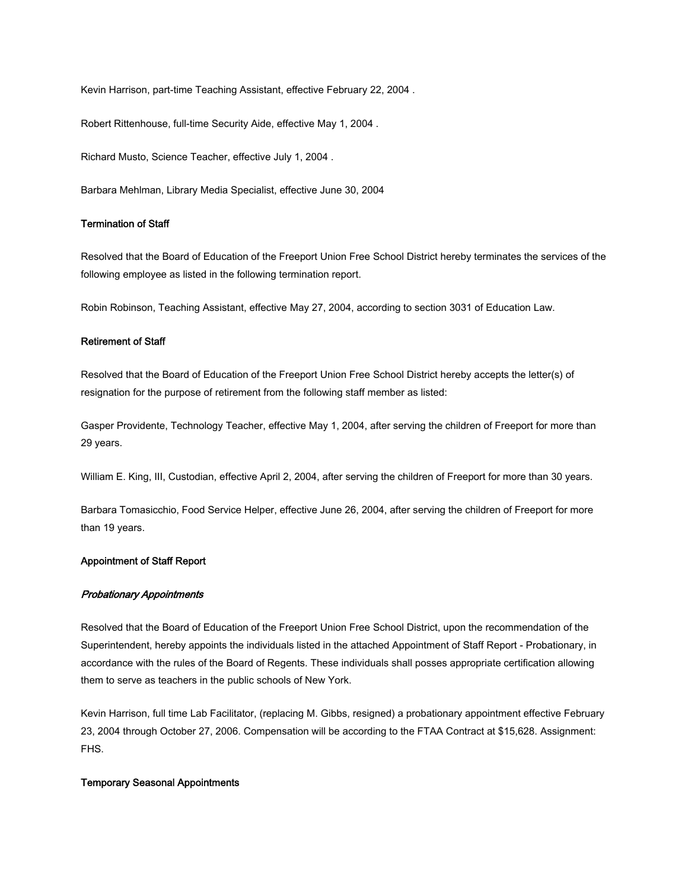Kevin Harrison, part-time Teaching Assistant, effective February 22, 2004 .

Robert Rittenhouse, full-time Security Aide, effective May 1, 2004 .

Richard Musto, Science Teacher, effective July 1, 2004 .

Barbara Mehlman, Library Media Specialist, effective June 30, 2004

# Termination of Staff

Resolved that the Board of Education of the Freeport Union Free School District hereby terminates the services of the following employee as listed in the following termination report.

Robin Robinson, Teaching Assistant, effective May 27, 2004, according to section 3031 of Education Law.

# Retirement of Staff

Resolved that the Board of Education of the Freeport Union Free School District hereby accepts the letter(s) of resignation for the purpose of retirement from the following staff member as listed:

Gasper Providente, Technology Teacher, effective May 1, 2004, after serving the children of Freeport for more than 29 years.

William E. King, III, Custodian, effective April 2, 2004, after serving the children of Freeport for more than 30 years.

Barbara Tomasicchio, Food Service Helper, effective June 26, 2004, after serving the children of Freeport for more than 19 years.

# Appointment of Staff Report

#### Probationary Appointments

Resolved that the Board of Education of the Freeport Union Free School District, upon the recommendation of the Superintendent, hereby appoints the individuals listed in the attached Appointment of Staff Report - Probationary, in accordance with the rules of the Board of Regents. These individuals shall posses appropriate certification allowing them to serve as teachers in the public schools of New York.

Kevin Harrison, full time Lab Facilitator, (replacing M. Gibbs, resigned) a probationary appointment effective February 23, 2004 through October 27, 2006. Compensation will be according to the FTAA Contract at \$15,628. Assignment: FHS.

#### Temporary Seasonal Appointments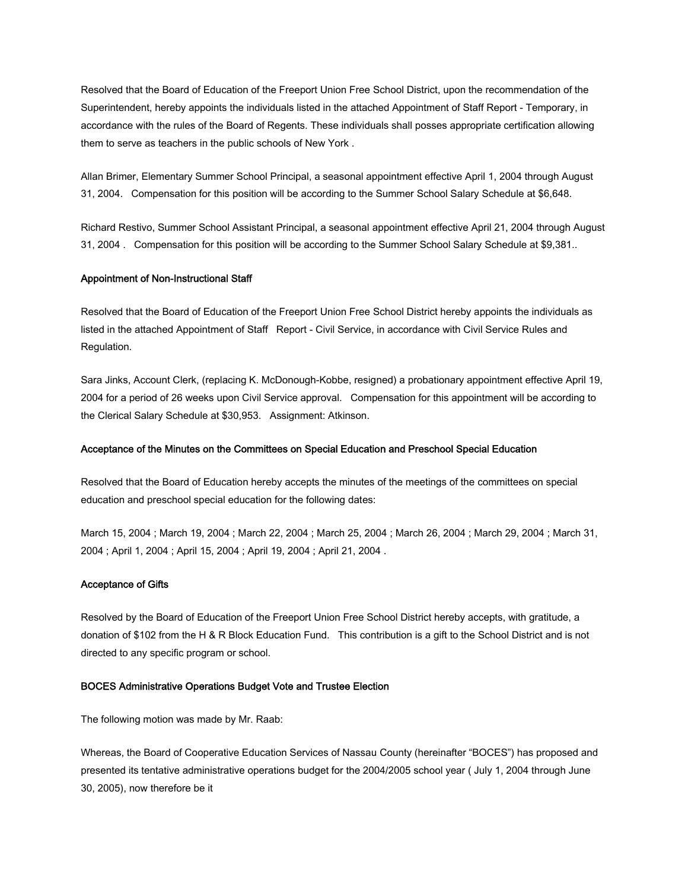Resolved that the Board of Education of the Freeport Union Free School District, upon the recommendation of the Superintendent, hereby appoints the individuals listed in the attached Appointment of Staff Report - Temporary, in accordance with the rules of the Board of Regents. These individuals shall posses appropriate certification allowing them to serve as teachers in the public schools of New York .

Allan Brimer, Elementary Summer School Principal, a seasonal appointment effective April 1, 2004 through August 31, 2004. Compensation for this position will be according to the Summer School Salary Schedule at \$6,648.

Richard Restivo, Summer School Assistant Principal, a seasonal appointment effective April 21, 2004 through August 31, 2004 . Compensation for this position will be according to the Summer School Salary Schedule at \$9,381..

#### Appointment of Non-Instructional Staff

Resolved that the Board of Education of the Freeport Union Free School District hereby appoints the individuals as listed in the attached Appointment of Staff Report - Civil Service, in accordance with Civil Service Rules and Regulation.

Sara Jinks, Account Clerk, (replacing K. McDonough-Kobbe, resigned) a probationary appointment effective April 19, 2004 for a period of 26 weeks upon Civil Service approval. Compensation for this appointment will be according to the Clerical Salary Schedule at \$30,953. Assignment: Atkinson.

# Acceptance of the Minutes on the Committees on Special Education and Preschool Special Education

Resolved that the Board of Education hereby accepts the minutes of the meetings of the committees on special education and preschool special education for the following dates:

March 15, 2004 ; March 19, 2004 ; March 22, 2004 ; March 25, 2004 ; March 26, 2004 ; March 29, 2004 ; March 31, 2004 ; April 1, 2004 ; April 15, 2004 ; April 19, 2004 ; April 21, 2004 .

## Acceptance of Gifts

Resolved by the Board of Education of the Freeport Union Free School District hereby accepts, with gratitude, a donation of \$102 from the H & R Block Education Fund. This contribution is a gift to the School District and is not directed to any specific program or school.

# BOCES Administrative Operations Budget Vote and Trustee Election

The following motion was made by Mr. Raab:

Whereas, the Board of Cooperative Education Services of Nassau County (hereinafter "BOCES") has proposed and presented its tentative administrative operations budget for the 2004/2005 school year ( July 1, 2004 through June 30, 2005), now therefore be it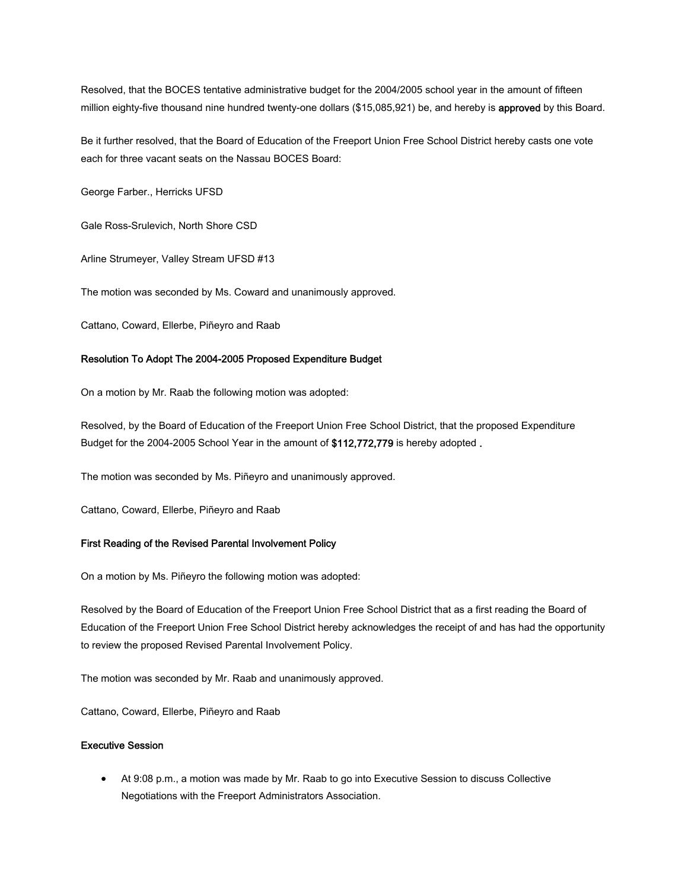Resolved, that the BOCES tentative administrative budget for the 2004/2005 school year in the amount of fifteen million eighty-five thousand nine hundred twenty-one dollars (\$15,085,921) be, and hereby is approved by this Board.

Be it further resolved, that the Board of Education of the Freeport Union Free School District hereby casts one vote each for three vacant seats on the Nassau BOCES Board:

George Farber., Herricks UFSD

Gale Ross-Srulevich, North Shore CSD

Arline Strumeyer, Valley Stream UFSD #13

The motion was seconded by Ms. Coward and unanimously approved.

Cattano, Coward, Ellerbe, Piñeyro and Raab

# Resolution To Adopt The 2004-2005 Proposed Expenditure Budget

On a motion by Mr. Raab the following motion was adopted:

Resolved, by the Board of Education of the Freeport Union Free School District, that the proposed Expenditure Budget for the 2004-2005 School Year in the amount of \$112,772,779 is hereby adopted .

The motion was seconded by Ms. Piñeyro and unanimously approved.

Cattano, Coward, Ellerbe, Piñeyro and Raab

# First Reading of the Revised Parental Involvement Policy

On a motion by Ms. Piñeyro the following motion was adopted:

Resolved by the Board of Education of the Freeport Union Free School District that as a first reading the Board of Education of the Freeport Union Free School District hereby acknowledges the receipt of and has had the opportunity to review the proposed Revised Parental Involvement Policy.

The motion was seconded by Mr. Raab and unanimously approved.

Cattano, Coward, Ellerbe, Piñeyro and Raab

# Executive Session

• At 9:08 p.m., a motion was made by Mr. Raab to go into Executive Session to discuss Collective Negotiations with the Freeport Administrators Association.